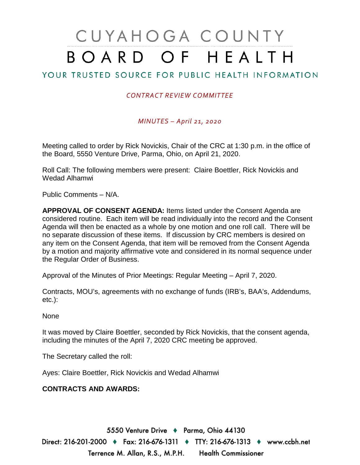# CUYAHOGA COUNTY BOARD OF HEALTH

# YOUR TRUSTED SOURCE FOR PUBLIC HEALTH INFORMATION

## *CONTRACT REVIEW COMMITTEE*

#### *MINUTES – April 21, 2020*

Meeting called to order by Rick Novickis, Chair of the CRC at 1:30 p.m. in the office of the Board, 5550 Venture Drive, Parma, Ohio, on April 21, 2020.

Roll Call: The following members were present: Claire Boettler, Rick Novickis and Wedad Alhamwi

Public Comments – N/A.

**APPROVAL OF CONSENT AGENDA:** Items listed under the Consent Agenda are considered routine. Each item will be read individually into the record and the Consent Agenda will then be enacted as a whole by one motion and one roll call. There will be no separate discussion of these items. If discussion by CRC members is desired on any item on the Consent Agenda, that item will be removed from the Consent Agenda by a motion and majority affirmative vote and considered in its normal sequence under the Regular Order of Business.

Approval of the Minutes of Prior Meetings: Regular Meeting – April 7, 2020.

Contracts, MOU's, agreements with no exchange of funds (IRB's, BAA's, Addendums, etc.):

None

It was moved by Claire Boettler, seconded by Rick Novickis, that the consent agenda, including the minutes of the April 7, 2020 CRC meeting be approved.

The Secretary called the roll:

Ayes: Claire Boettler, Rick Novickis and Wedad Alhamwi

### **CONTRACTS AND AWARDS:**

5550 Venture Drive + Parma, Ohio 44130 Direct: 216-201-2000 ♦ Fax: 216-676-1311 ♦ TTY: 216-676-1313 ♦ www.ccbh.net Terrence M. Allan, R.S., M.P.H. Health Commissioner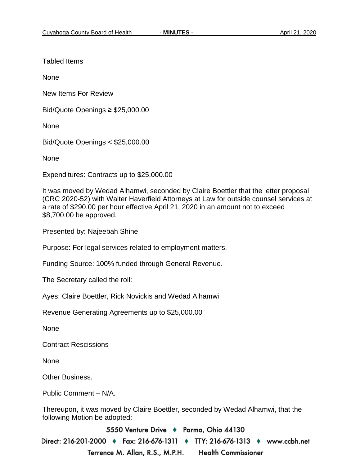Tabled Items

None

New Items For Review

Bid/Quote Openings ≥ \$25,000.00

None

Bid/Quote Openings < \$25,000.00

None

Expenditures: Contracts up to \$25,000.00

It was moved by Wedad Alhamwi, seconded by Claire Boettler that the letter proposal (CRC 2020-52) with Walter Haverfield Attorneys at Law for outside counsel services at a rate of \$290.00 per hour effective April 21, 2020 in an amount not to exceed \$8,700.00 be approved.

Presented by: Najeebah Shine

Purpose: For legal services related to employment matters.

Funding Source: 100% funded through General Revenue.

The Secretary called the roll:

Ayes: Claire Boettler, Rick Novickis and Wedad Alhamwi

Revenue Generating Agreements up to \$25,000.00

None

Contract Rescissions

None

Other Business.

Public Comment – N/A.

Thereupon, it was moved by Claire Boettler, seconded by Wedad Alhamwi, that the following Motion be adopted:

5550 Venture Drive + Parma, Ohio 44130

Direct: 216-201-2000 ♦ Fax: 216-676-1311 ♦ TTY: 216-676-1313 ♦ www.ccbh.net Terrence M. Allan, R.S., M.P.H. **Health Commissioner**